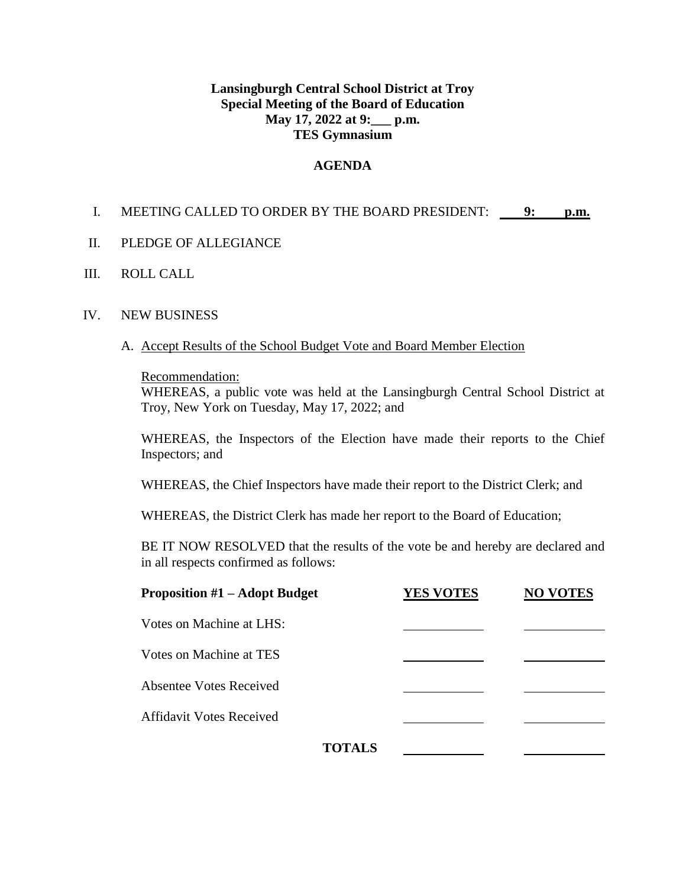# **Lansingburgh Central School District at Troy Special Meeting of the Board of Education May 17, 2022 at 9:\_\_\_ p.m. TES Gymnasium**

# **AGENDA**

# I. MEETING CALLED TO ORDER BY THE BOARD PRESIDENT: **9: p.m.**

### II. PLEDGE OF ALLEGIANCE

### III. ROLL CALL

#### IV. NEW BUSINESS

#### A. Accept Results of the School Budget Vote and Board Member Election

#### Recommendation:

WHEREAS, a public vote was held at the Lansingburgh Central School District at Troy, New York on Tuesday, May 17, 2022; and

WHEREAS, the Inspectors of the Election have made their reports to the Chief Inspectors; and

WHEREAS, the Chief Inspectors have made their report to the District Clerk; and

WHEREAS, the District Clerk has made her report to the Board of Education;

BE IT NOW RESOLVED that the results of the vote be and hereby are declared and in all respects confirmed as follows:

| <b>Proposition #1 – Adopt Budget</b> | <b>YES VOTES</b> | <b>NO VOTES</b> |
|--------------------------------------|------------------|-----------------|
| Votes on Machine at LHS:             |                  |                 |
| Votes on Machine at TES              |                  |                 |
| <b>Absentee Votes Received</b>       |                  |                 |
| <b>Affidavit Votes Received</b>      |                  |                 |
| <b>TOTALS</b>                        |                  |                 |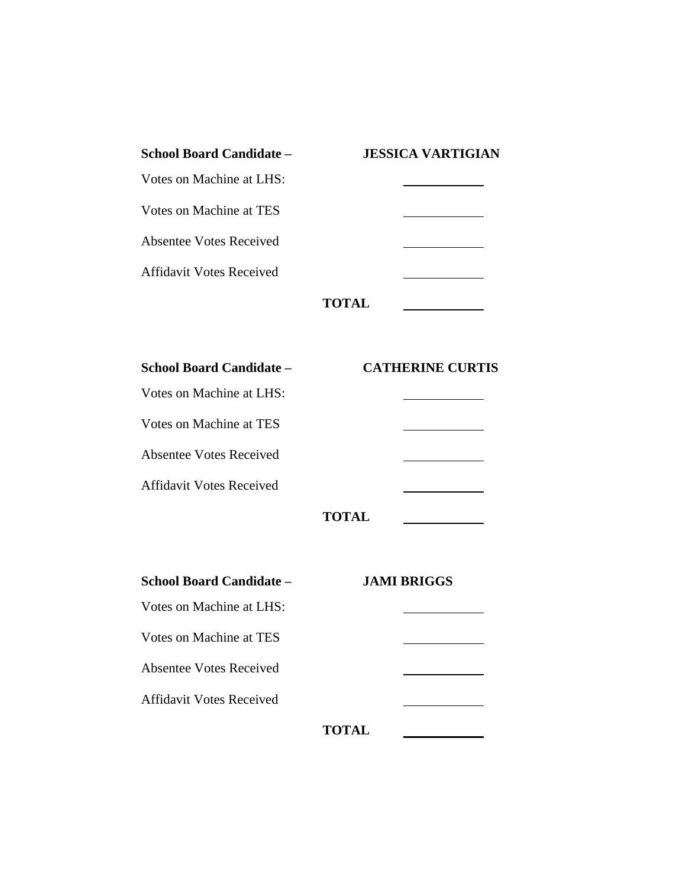| <b>School Board Candidate –</b> | <b>JESSICA VARTIGIAN</b> |
|---------------------------------|--------------------------|
| Votes on Machine at LHS:        |                          |
| Votes on Machine at TES         |                          |
| Absentee Votes Received         |                          |
| <b>Affidavit Votes Received</b> |                          |
|                                 | <b>TOTAL</b>             |

| <b>School Board Candidate –</b> | <b>CATHERINE CURTIS</b> |
|---------------------------------|-------------------------|
| Votes on Machine at LHS:        |                         |
| Votes on Machine at TES         |                         |
| <b>Absentee Votes Received</b>  |                         |
| <b>Affidavit Votes Received</b> |                         |
|                                 |                         |

|--|

 $\mathbb{R}^2$ 

| School Board Candidate –        |              | <b>JAMI BRIGGS</b> |  |
|---------------------------------|--------------|--------------------|--|
| Votes on Machine at LHS:        |              |                    |  |
| Votes on Machine at TES         |              |                    |  |
| <b>Absentee Votes Received</b>  |              |                    |  |
| <b>Affidavit Votes Received</b> |              |                    |  |
|                                 | <b>TOTAL</b> |                    |  |